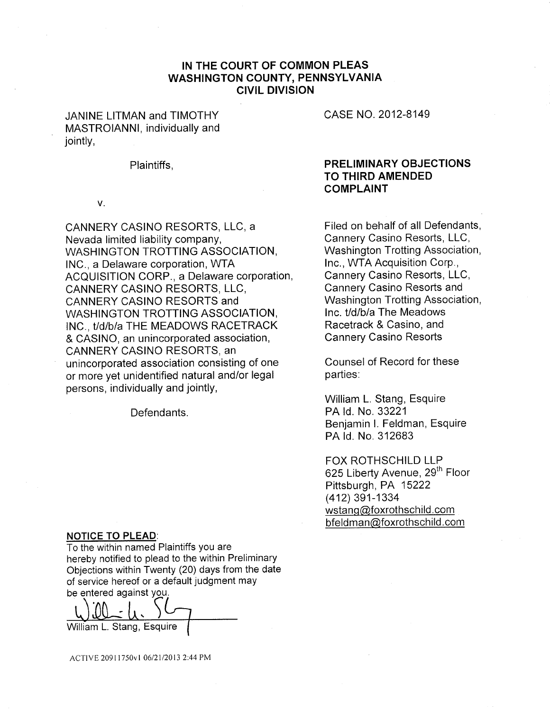# IN THE COURT OF COMMON PLEAS WASHINGTON COUNTY, PENNSYLVANIA CIVIL DIVISION

JANINE LITMAN and TIMOTHY MASTROIANNI, individually and jointiy,

#### Plaintiffs,

### V.

CANNERY CASINO RESORTS, LLC, a Nevada limited liability company, WASHINGTON TROTTING ASSOCIATION, INC., a Delaware corporation, WTA ACQUISITION CORP., a Delaware corporation, CANNERY CASINO RESORTS, LLC, CANNERY CASINO RESORTS and WASHINGTON TROTTING ASSOCIATION, INC., *t/d/b/a* THE MEADOWS RACETRACK & CASINO, an unincorporated association, CANNERY CASINO RESORTS, an unincorporated association consisting of one or more yet unidentified natural and/or legal persons, individually and jointly,

Defendants.

### **NOTICE TO PLEAD:**

To the within named Plaintiffs you are hereby notified to plead to the within Preliminary Objections within Twenty (20) days from the date of service hereof or a default judgment may be entered against you.

William L. Stang, Esquire

CASE NO. 2012\_8149

# PRELIMINARY OBJECTIONS TO THIRD AMENDED COMPLAINT

Filed on behalf of all Defendants, Cannery Casino Resorts, LLC, Washington Trotting Association, Inc., WTA Acquisition Corp., Cannery Casino Resorts, LLC, Cannery Casino Resorts and Washington Trotting Association, lnc. t/d/b/a The Meadows Racetrack & Casino, and Cannery Casino Resorts

Counsel of Record for these parties:

William L. Stang, Esquire PA Id. No. 33221 Benjamin I. Feldman, Esquire PA Id. No. 312683

FOX ROTHSCHILD LLP 625 Liberty Avenue, 29<sup>th</sup> Floor Pittsburgh, PA 15222 (412) 391-1334 wstang@foxrothschild.com bfeldman@foxrothschild.com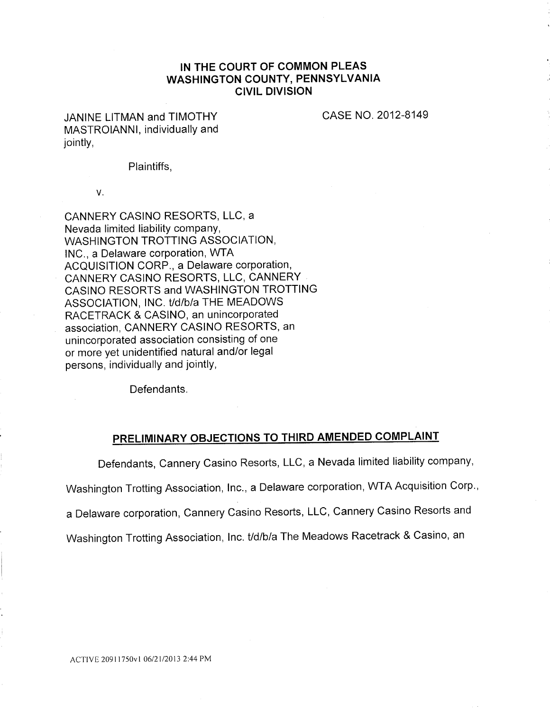# IN THE COURT OF COMMON PLEAS WASHINGTON COUNTY, PENNSYLVANIA CIVIL DIVISION

JANINE LITMAN and TIMOTHY MASTROIANNI, individually and jointly,

CASE NO. 2012-8149

Plaintiffs,

V.

CANNERY CASINO RESORTS, LLC, a Nevada limited liability company, WASHINGTON TROTTING ASSOCIATION, INC., a Delaware corporation, WTA ACQUISITION CORP., a Delaware corporation, CANNERY CASINO RESORTS, LLC, CANNERY CASINO RESORTS and WASHINGTON TROTTING ASSOCIATION, INC. t/d/b/a THE MEADOWS RACETRACK & CASINO, an unincorporated association, CANNERY CASINO RESORTS, an unincorporated association consisting of one or more yet unidentified natural and/or legal persons, individually and jointly,

Defendants.

# PRELIMINARY OBJECTIONS TO THIRD AMENDED COMPLAINT

Defendants, Cannery Casino Resorts, LLC, a Nevada limited liability company,

Washington Trotting Association, Inc., a Delaware corporation, WTA Acquisition Corp.,

a Delaware corporation, Cannery Casino Resorts, LLC, Cannery Casino Resorts and

Washington Trotting Association, lnc. *t/d/b/a* The Meadows Racetrack & Casino, an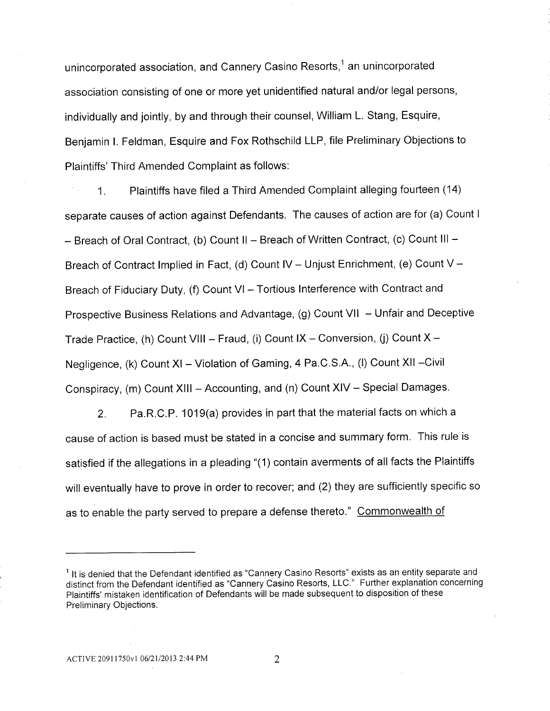unincorporated association, and Cannery Casino Resorts,<sup>1</sup> an unincorporated association consisting of one or more yet unidentified natural and/or legal persons, individually and jointly, by and through their counsel, William L. Stang, Esquire, Benjamin I. Feldman, Esquire and Fox Rothschild LLP, file Preliminary Objections to Plaintiffs' Third Amended Complaint as follows:

1. Plaintiffs have filed a Third Amended Complaint alleging fourteen (14) separate causes of action against Defendants. The causes of action are for (a) Count l - Breach of Oral Contract, (b) Count II - Breach of Written Contract, (c) Count III -Breach of Contract Implied in Fact, (d) Count IV - Unjust Enrichment, (e) Count V -Breach of Fiduciary Duty, (f) Count VI - Tortious Interference with Contract and Prospective Business Relations and Advantage, (g) Count VII - Unfair and Deceptive Trade Practice, (h) Count VIII - Fraud, (i) Count IX - Conversion, (i) Count  $X -$ Negligence, (k) Count XI – Violation of Gaming, 4 Pa.C.S.A., (I) Count XII – Civil Conspiracy, (m) Count XIII - Accounting, and (n) Count XIV - Special Damages.

2. Pa.R.C.P. 1019(a) provides in part that the material facts on which a cause of action is based must be stated in a concise and summary form. This rule is satisfied if the allegations in a pleading "(1) contain averments of all facts the Plaintiffs will eventually have to prove in order to recover; and (2) they are sufficiently specific so as to enable the party served to prepare a defense thereto." Commonwealth of

 $<sup>1</sup>$  It is denied that the Defendant identified as "Cannery Casino Resorts" exists as an entity separate and</sup> distinct from the Defendant identified as "Cannery Casino Resorts, LLC." Further explanation concerning Plaintiffs' mistaken identification of Defendants will be made subsequent to disposition of these Preliminary Objections.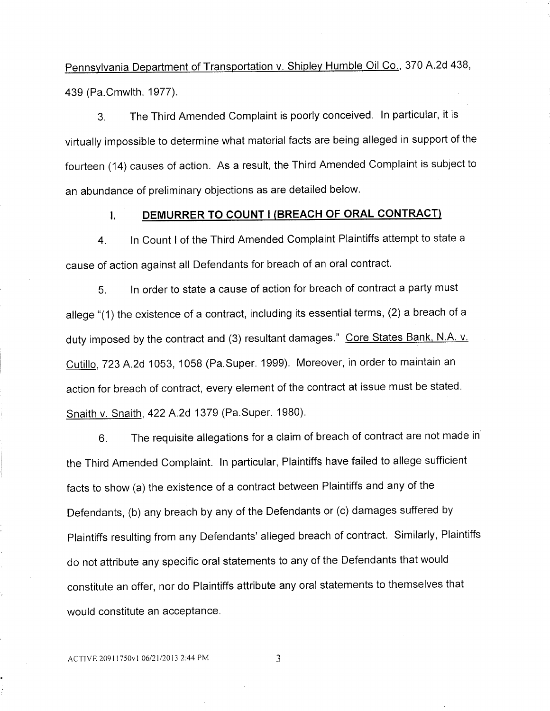Pennsylvania Department of Transportation v. Shipley Humble Oil Co., 370 A.2d 438, 439 (Pa.Cmwlth. 1977).

3. The Third Amended Complaint is poorly conceived. In particular, it is virtually impossible to determine what material facts are being alleged in support of the fourteen (14) causes of action. As a result, the Third Amended Complaint is subject to an abundance of preliminary objections as are detailed below.

# I. DEMURRER TO COUNT I (BREACH OF ORAL CONTRACT)

4. ln Count l of the Third Amended Complaint Plaintiffs attempt to state a cause of action against all Defendants for breach of an oral contract.

5. ln order to state a cause of action for breach of contract a party must allege "(1) the existence of a contract, including its essential terms, (2) a breach of a duty imposed by the contract and (3) resultant damages." Core States Bank, N.A. v. Cutillo, 723 A.2d 1053, 1058 (Pa.Super. 1999). Moreover, in order to maintain an action for breach of contract, every element of the contract at issue must be stated. Snaith V. Snaith, 422 A.2d 1379 (Pa.Super. 1980).

6. The requisite allegations for a claim of breach of contract are not made in` the Third Amended Complaint. ln particular, Plaintiffs have failed to allege sufficient facts to show (a) the existence of a contract between Plaintiffs and any of the Defendants, (b) any breach by any of the Defendants or (c) damages suffered by Plaintiffs resulting from any Defendants' alleged breach of contract. Similarly, Plaintiffs do not attribute any specific oral statements to any of the Defendants that would constitute an offer, nor do Plaintiffs attribute any oral statements to themselves that would constitute an acceptance.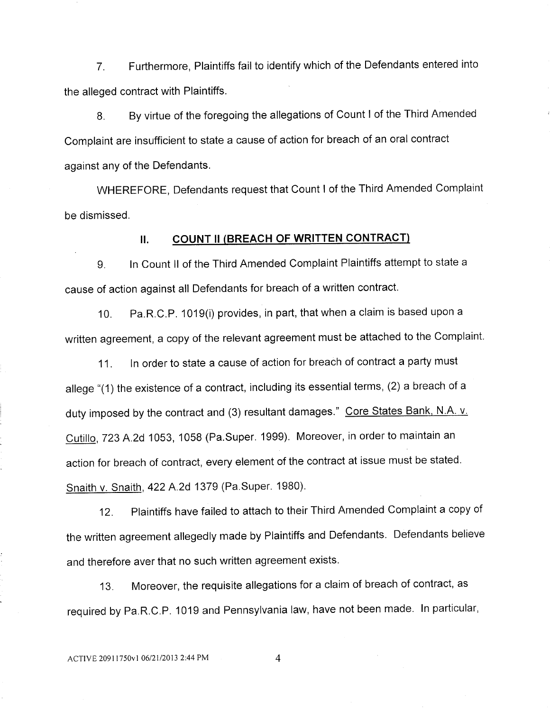7. Furthermore, Plaintiffs fail to identify which of the Defendants entered into the alleged contract with Plaintiffs.

8. By virtue of the foregoing the allegations of Count l of the Third Amended Complaint are insufficient to state a cause of action for breach of an oral contract against any of the Defendants.

WHEREFORE, Defendants request that Count l of the Third Amended Complaint be dismissed.

### II. COUNT II (BREACH OF WRITTEN CONTRACT)

9. ln Count ll of the Third Amended Complaint Plaintiffs attempt to state a cause of action against all Defendants for breach of a written contract.

10. Pa.R.C.P. 1019(i) provides, in part, that when a claim is based upon a written agreement, a copy of the relevant agreement must be attached to the Complaint.

11. In order to state a cause of action for breach of contract a party must allege "(1) the existence of a contract, including its essential terms, (2) a breach of a duty imposed by the contract and (3) resultant damages." Core States Bank, N.A. v. Cutillo, 723 A.2d 1053, 1058 (Pa.Super. 1999). Moreover, in order to maintain an action for breach of contract, every element of the contract at issue must be stated. Snaith v. Snaith, 422 A.2d 1379 (Pa.Super. 1980).

12. Plaintiffs have failed to attach to their Third Amended Complaint a copy of the written agreement allegedly made by Plaintiffs and Defendants. Defendants believe and therefore aver that no such written agreement exists.

13. Moreover, the requisite allegations for a claim of breach of contract, as required by Pa.R.C.P. 1019 and Pennsylvania law, have not been made. In particular,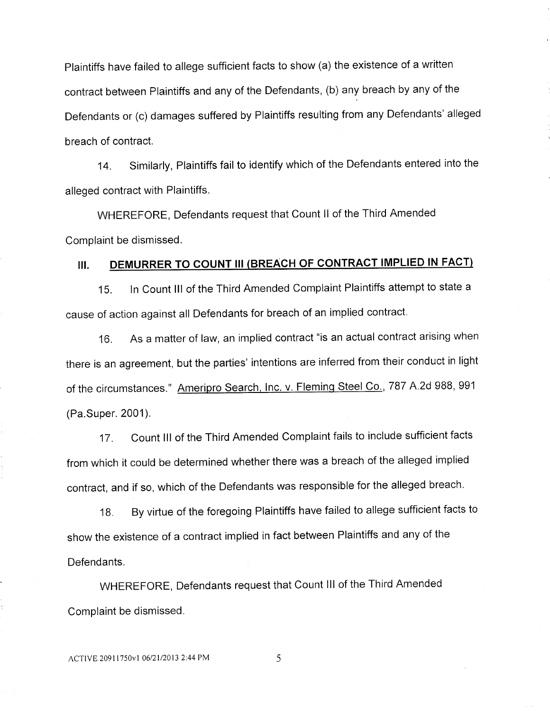Plaintiffs have failed to allege sufficient facts to show (a) the existence of a written contract between Plaintiffs and any of the Defendants, (b) any breach by any of the Defendants or (c) damages suffered by Plaintiffs resulting from any Defendants' alleged breach of contract.

14. Similarly, Plaintiffs fail to identify which of the Defendants entered into the alleged contract with Plaintiffs.

WHEREFORE, Defendants request that Count ll of the Third Amended Complaint be dismissed.

# III. DEMURRER TO COUNT III (BREACH OF CONTRACT IMPLIED IN FACT)

15. In Count Ill of the Third Amended Complaint Plaintiffs attempt to state a cause of action against all Defendants for breach of an implied contract.

16. As a matter of law, an implied contract "iS an actual contract arising when there is an agreement, but the parties' intentions are inferred from their conduct in light of the circumstances." Ameripro Search, Inc. v. Fleming Steel Co., 787 A.2d 988, 991 (Pa.Super. 2001).

17. Count Ill of the Third Amended Complaint fails to include sufficient facts from which it could be determined whether there was a breach of the alleged implied contract, and if so, which of the Defendants was responsible for the alleged breach.

18. By virtue of the foregoing Plaintiffs have failed to allege sufficient facts to show the existence of a contract implied in fact between Plaintiffs and any of the Defendants.

WHEREFORE, Defendants request that Count lll of the Third Amended Complaint be dismissed.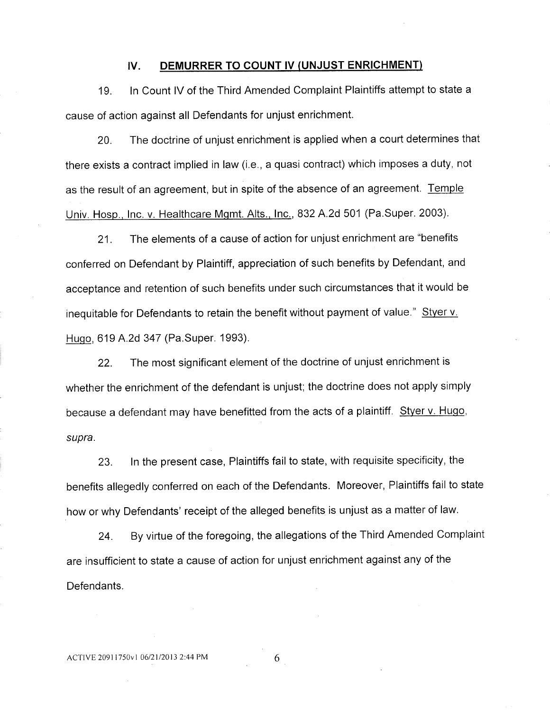### IV. DEMURRER TO COUNT IV (UNJUST ENRICHMENT)

19. In Count IV of the Third Amended Complaint Plaintiffs attempt tostate a cause of action against all Defendants for unjust enrichment.

20. The doctrine of unjust enrichment is applied when a court determines that there exists a contract implied in law (i.e., a quasi contract) which imposes a duty, not as the result of an agreement, but in spite of the absence of an agreement. Temple Univ. Hosp., Inc. v. Healthcare Mgmt. Alts., Inc., 832 A.2d 501 (Pa.Super. 2003).

21. The elements of a cause of action for unjust enrichment are "benefits conferred on Defendant by Plaintiff, appreciation of such benefits by Defendant, and acceptance and retention of such benefits under such circumstances that it would be inequitable for Defendants to retain the benefit without payment of value." Styer v. Hugo, 619 A.2d 347 (Pa.Super. 1993).

22. The most significant element of the doctrine of unjust enrichment is whether the enrichment of the defendant is unjust; the doctrine does not apply simply because a defendant may have benefitted from the acts of a plaintiff. Styer v. Hugo, *supra.*

23. In the present case, Plaintiffs fail to state, with requisite specificity, the benefits allegedly conferred on each of the Defendants. Moreover, Plaintiffs fail to state how or why Defendants' receipt of the alleged benefits is unjust as a matter of law.

24. By virtue of the foregoing, the allegations of the Third Amended Complaint are insufficient to state a cause of action for unjust enrichment against any of the Defendants.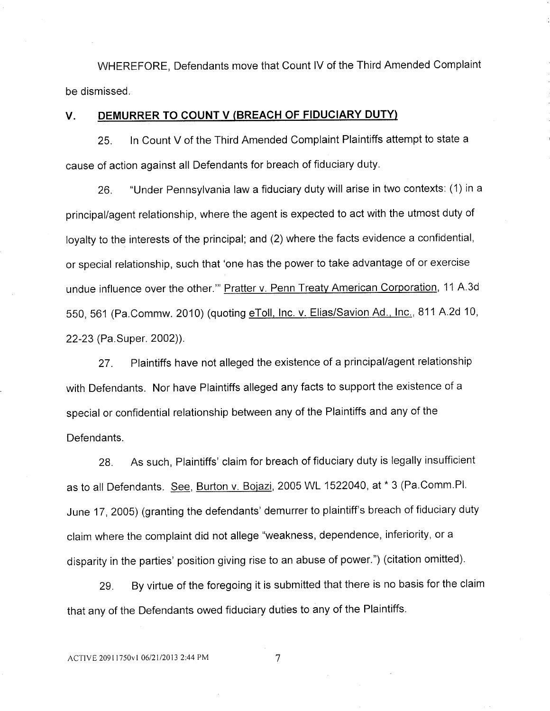WHEREFORE, Defendants move that Count IV of the Third Amended Complaint be dismissed.

### V. DEMURRER TO COUNT V (BREACH OF FIDUCIARY DUTY)

25. In Count V of the Third Amended Complaint Plaintiffs attempt to state a cause of action against all Defendants for breach of fiduciary duty.

26. "Under Pennsylvania law a fiduciary duty Will arise in two contexts; (1) in a principal/agent relationship, where the agent is expected to act with the utmost duty of loyalty to the interests of the principal; and (2) where the facts evidence a confidential, or special relationship, such that 'one has the power to take advantage of or exercise undue influence over the other.'" Pratter v. Penn Treaty American Corporation, 11 A.3d 550, 561 (Pa.Commw. 2010) (quoting eToll, Inc. v. Elias/Savion Ad., Inc., 811 A.2d 10, 22-23 (Pa.Super. 2002)).

27. Plaintiffs have not alleged the existence of a principal/agent relationship with Defendants. Nor have Plaintiffs alleged any facts to support the existence of a special or confidential relationship between any of the Plaintiffs and any of the Defendants.

28. As such, Plaintiffs' claim for breach of fiduciary duty is legally insufficient as to all Defendants. See, Burton v. Bojazi, 2005 WL 1522040, at \* 3 (Pa.Comm.Pl. June 17, 2005) (granting the defendants' demurrer to plaintiff's breach of fiduciary duty claim where the complaint did not allege "weakness, dependence, inferiority, or a disparity in the parties' position giving rise to an abuse of power.") (citation omitted).

29. By virtue of the foregoing it is submitted that there is no basis for the claim that any of the Defendants owed fiduciary duties to any of the Plaintiffs.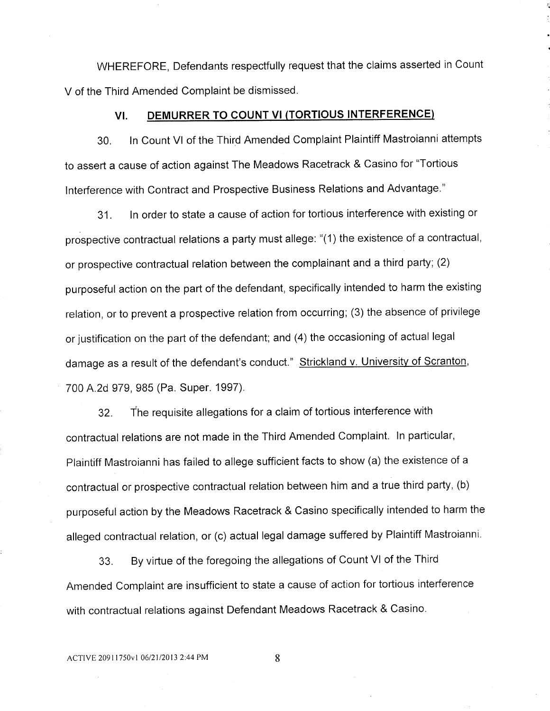WHEREFORE, Defendants respectfully request that the claims asserted in Count V of the Third Amended Complaint be dismissed.

### VI. DEMURRER TO COUNT VI (TORTIOUS INTERFERENCE)

30. ln Count VI of the Third Amended Complaint Plaintiff Mastroianni attempts to assert a cause of action against The Meadows Racetrack & Casino for "Tortious interference with Contract and Prospective Business Relations and Advantage."

31. ln order to state a cause of action for tortious interference with existing or prospective contractual relations a party must allege: "(1) the existence of a contractual, or prospective contractual relation between the complainant and a third party; (2) purposeful action on the part of the defendant, specifically intended to harm the existing relation, or to prevent a prospective relation from occurring; (3) the absence of privilege or justification on the part of the defendant; and (4) the occasioning of actual legal damage as a result of the defendant's conduct." Strickland v. University of Scranton, 700 A.2d 979, 985 (Pa. Super. 1997).

32. The requisite allegations for a claim of tortious interference with contractual relations are not made in the Third Amended Complaint. In particular, Plaintiff Mastroianni has failed to allege sufficient facts to show (a) the existence of a contractual or prospective contractual relation between him and a true third party, (b) purposeful action by the Meadows Racetrack & Casino specifically intended to harm the alleged contractual relation, or (c) actual legal damage suffered by Plaintiff Mastroianni.

33. By virtue of the foregoing the allegations of Count VI of the Third Amended Complaint are insufficient to state a cause of action for tortious interference with contractual relations against Defendant Meadows Racetrack & Casino.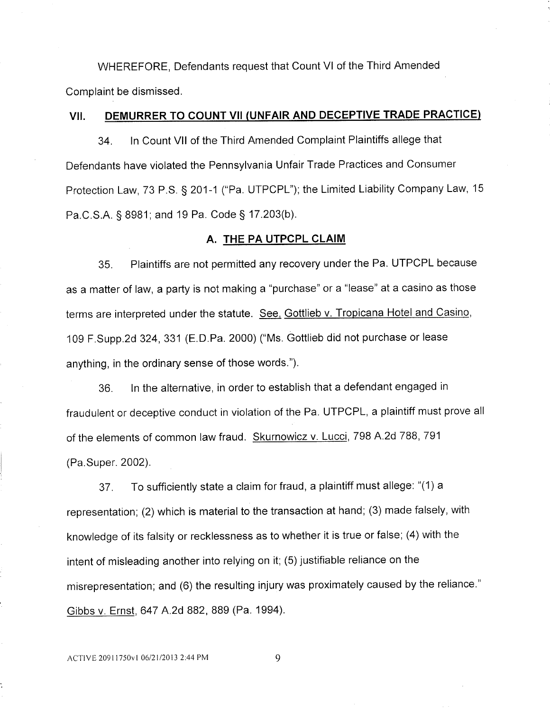WHEREFORE, Defendants request that Count VI of the Third Amended Complaint be dismissed.

### VII. DENIURRER TO COUNT VII (UNFAIR AND DECEPTIVE TRADE PRACTICE)

34. In Count VII of the Third Amended Complaint Plaintiffs allege that Defendants have violated the Pennsylvania Unfair Trade Practices and Consumer Protection Law, 73 P.S. § 201-1 ("Pa. UTPCPL"); the Limited Liability Company Law, 15 Pa.C.S.A. § 8981; and 19 Pa. Code § 17.203(b).

### A. THE PA UTPCPL CLAIM

35. Plaintiffs are not permitted any recovery under the Pa. UTPCPL because as a matter of law, a party is not making a "purchase" or a "lease" at a casino as those terms are interpreted under the statute. See, Gottlieb v. Tropicana Hotel and Casino, 109 F.Supp.2d 324, 331 (E.D.Pa. 2000) ("Ms. Gottlieb did not purchase or lease anything, in the ordinary sense of those words.").

36. In the alternative, in order to establish that a defendant engaged in fraudulent or deceptive conduct in violation of the Pa. UTPCPL, a plaintiff must prove all of the elements of common law fraud. Skurnowicz v. Lucci, 798 A.2d 788, 791 (Pa.Super. 2002).

37. To sufficiently state a claim for fraud, a plaintiff must allege: "(1) a representation; (2) which is material to the transaction at hand; (3) made falsely, with knowledge of its falsity or recklessness as to whether it is true or false; (4) with the intent of misleading another into relying on it; (5) justifiable reliance on the misrepresentation; and (8) the resulting injury was proximately caused by the reliance." Gibbs V. Ernst, 647 A.2d 882, 889 (Pa. 1994).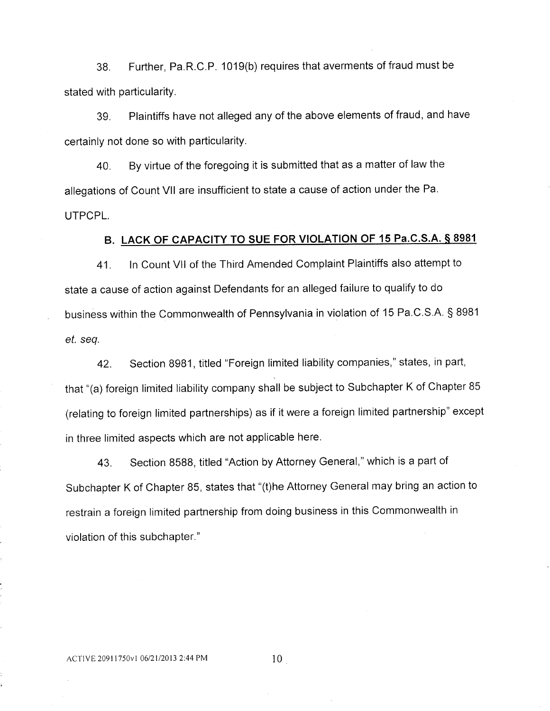38. Further, Pa.R.C.P. 1019(b) requires that averments of fraud must be stated with particularity.

39. Plaintiffs have not alleged any of the above elements of fraud, and have certainly not done so with particularity.

40. By virtue of the foregoing it is submitted that as a matter of law the allegations of Count VII are insufficient to state a cause of action under the Pa. UTPCPL.

# B. LACK OF CAPACITY TO SUE FOR VIOLATION OF 15 Pa.C.S.A. § 8981

41. ln Count Vll of the Third Amended Complaint Plaintiffs also attempt to state a cause of action against Defendants for an alleged failure to qualify to do business within the Commonwealth of Pennsylvania in violation of 15 Pa.C.S.A. § 8981 ef. seq.

42. Section 8981, titled "Foreign limited liability companies," states, in part, that "(a) foreign limited liability company shall be subject to Subchapter K of Chapter 85 (relating to foreign limited partnerships) as if it were a foreign limited partnership" except in three limited aspects which are not applicable here.

43. Section 8588, titled "Action by Attorney General," which is a part of Subchapter K of Chapter 85, states that "(t)he Attorney General may bring an action to restrain a foreign limited partnership from doing business in this Commonwealth in violation of this subchapter."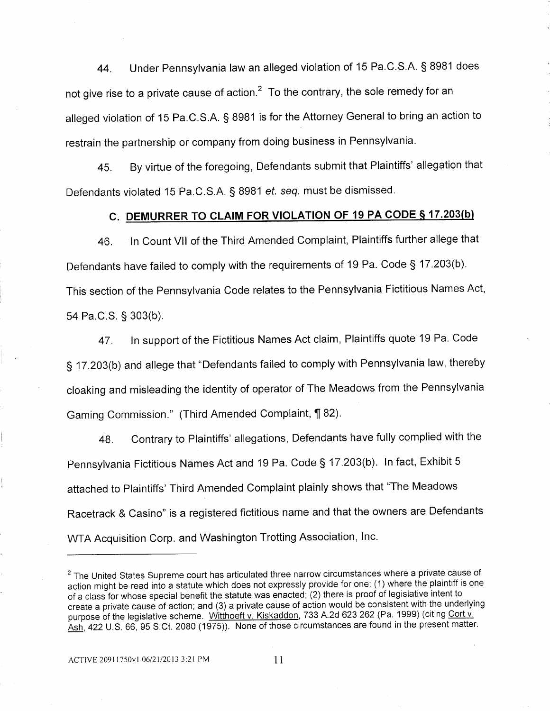44. Under Pennsylvania law an alleged violation of 15 Pa.C.S.A. § 8981 does not give rise to a private cause of action. $2$  To the contrary, the sole remedy for an alleged violation of 15 Pa.C.S.A. § 8981 is for the Attorney General to bring an action to restrain the partnership or company from doing business in Pennsylvania.

45. By virtue of the foregoing, Defendants submit that Plaintiffs' allegation that Defendants violated 15 Pa.C.S.A. § 8981 *ef. seq.* must be dismissed.

# C. DEMURRER TO CLAIM FOR VIOLATION OF 19 PA CODE § 17.203(b)

45. ln Count VII of the Third Amended Complaint, Plaintiffs further allege that Defendants have failed to comply with the requirements of 19 Pa. Code § 17.203(b). This section of the Pennsylvania Code relates to the Pennsylvania Fictitious Names Act, 54 Pa.C.S. § 303(b).

47. in support of the Fictitious Names Act claim, Plaintiffs quote 19 Pa. Code § 17.203(b) and allege that "Defendants failed to comply with Pennsylvania law, thereby cloaking and misleading the identity of operator of The Meadows from the Pennsylvania Gaming Commission." (Third Amended Complaint, ¶ 82).

48. Contrary to Plaintiffs' allegations, Defendants have fully complied with the Pennsylvania Fictitious Names Act and 19 Pa. Code § 17.203(b). ln fact, Exhibit 5 attached to Plaintiffs' Third Amended Complaint plainly shows that "The Meadows Racetrack & Casino" is a registered fictitious name and that the owners are Defendants WTA Acquisition Corp. and Washington Trotting Association, Inc.

<sup>&</sup>lt;sup>2</sup> The United States Supreme court has articulated three narrow circumstances where a private cause of action might be read into a statute which does not expressly provide for one: (1) where the plaintiff is one of a class for whose special benefit the statute was enacted; (2) there is proof of legislative intent to create a private cause of action; and (3) a private cause of action would be consistent with the underlying purpose of the legislative scheme. Witthoeft v. Kiskaddon, 733 A.2d 623 262 (Pa. 1999) (citing Cort v. Ash, 422 U.S. 66, 95 S.Ct. 2080 (1975)). None of those circumstances are found in the present matter.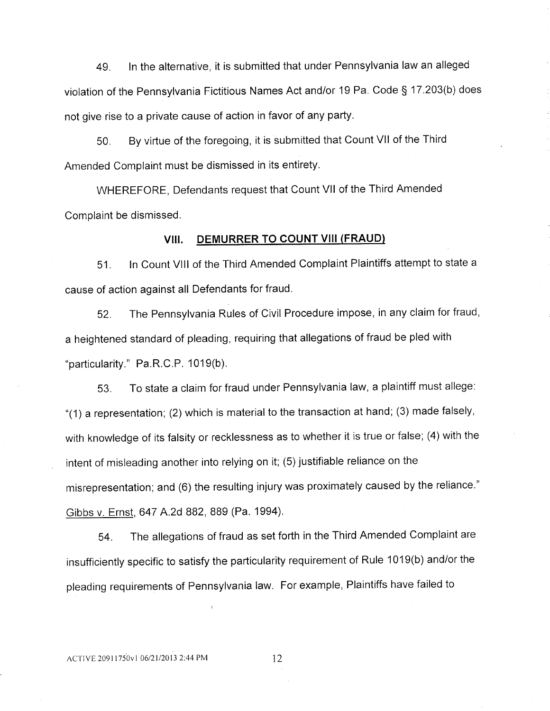49. In the alternative, it is submitted that under Pennsylvania law an alleged violation of the Pennsylvania Fictitious Names Act and/or 19 Pa. Code § 17.203(b) does not give rise to a private cause of action in favor of any party.

50. By virtue of the foregoing, it is submitted that Count VII of the Third Amended Complaint must be dismissed in its entirety.

WHEREFORE, Defendants request that Count VII of the Third Amended Complaint be dismissed.

# VIII. DEMURRER TO COUNT VIII (FRAUD)

51. ln Count Vlll of the Third Amended Complaint Plaintiffs attempt to state a cause of action against all Defendants for fraud.

52. The Pennsylvania Rules of Civil Procedure impose, in any claim for fraud, a heightened standard of pleading, requiring that allegations of fraud be pled with "particularity." Pa.R.C.P. 1019(b).

53. To state a claim for fraud under Pennsylvania law, a plaintiff must allege: "(1) a representation; (2) which is material to the transaction at hand; (3) made falsely, with knowledge of its falsity or recklessness as to whether it is true or false; (4) with the intent of misleading another into relying on it; (5) justifiable reliance on the misrepresentation; and (6) the resulting injury was proximately caused by the reliance." Gibbs V. Ernst, 647 A.2d 882, 889 (Pa. 1994).

54. The allegations of fraud as set forth in the Third Amended Complaint are insufficiently specific to satisfy the particularity requirement of Rule 1019(b) and/or the pleading requirements of Pennsylvania law. For example, Plaintiffs have failed to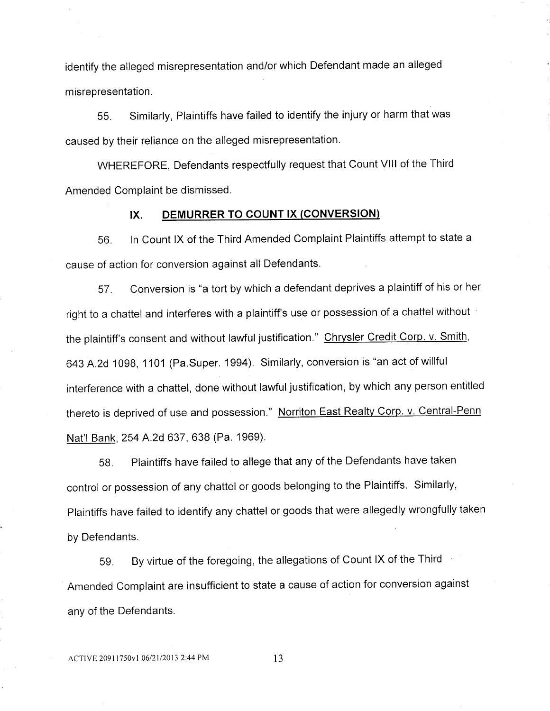identify the alleged misrepresentation and/or which Defendant made an alleged misrepresentation.

55. Similarly, Plaintiffs have failed to identify the injury or harm thatwas caused by their reliance on the alleged misrepresentation.

WHEREFORE, Defendants respectfully request that Count Vlll of the Third Amended Complaint be dismissed.

# IX. DEMURRER TO COUNT IX (CONVERSION)

56. In Count IX of the Third Amended Complaint Plaintiffs attempt to state a cause of action for conversion against all Defendants.

57. Conversion is "a tort by which a defendant deprives a plaintiff of his or her right to a chattel and interferes with a plaintiff's use or possession of a chattel without the plaintiff's consent and without lawful justification." Chrysler Credit Corp. v. Smith, 643 A.2d 1098, 1101 (Pa.Super. 1994). Similarly, conversion is "an act of willful interference with a chattel, done without lawful justification, by which any person entitled thereto is deprived of use and possession." Norriton East Realty Corp. v. Central-Penn Nat'l Bank, 254 A.2d 637, 638 (Pa. 1969).

58. Plaintiffs have failed to allege that any of the Defendants have taken control or possession of any chattel or goods belonging to the Plaintiffs. Similarly, Plaintiffs have failed to identify any chattel or goods that were allegedly wrongfully taken by Defendants.

59. By virtue of the foregoing, the allegations of Count IX of the Third Amended Complaint are insufficient to state a cause of action for conversion against any of the Defendants.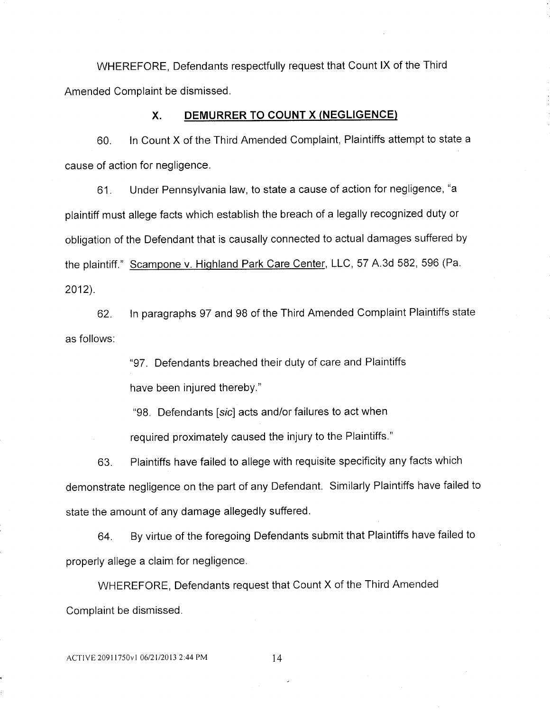WHEREFORE, Defendants respectfully request that Count IX of the Third Amended Complaint be dismissed.

### X. DENIURRER TO COUNT X (NEGLIGENCE)

60. ln Count X of the Third Amended Complaint, Plaintiffs attempt to state a Cause of action for negligence.

61. Under Pennsylvania law, to state a cause of action for negligence, "a plaintiff must allege facts which establish the breach of a legally recognized duty or obligation of the Defendant that is causally connected to actual damages suffered by the plaintiff." Scampone v. Highland Park Care Center, LLC, 57 A.3d 582, 596 (Pa. 2012).

62. ln paragraphs 97 and 98 of the Third Amended Complaint Plaintiffs state as follows:

"97. Defendants breached their duty of care and Plaintiffs

have been injured thereby."

"98. Defendants [sic] acts and/or failures to act when

required proximately caused the injury to the Plaintiffs."

63. Plaintiffs have failed to allege with requisite specificity any facts which demonstrate negligence on the part of any Defendant. Similarly Plaintiffs have failed to state the amount of any damage allegedly suffered.

64. By virtue of the foregoing Defendants submit that Plaintiffs have failed to properly allege a claim for negligence.

WHEREFORE, Defendants request that Count X of the Third Amended Complaint be dismissed.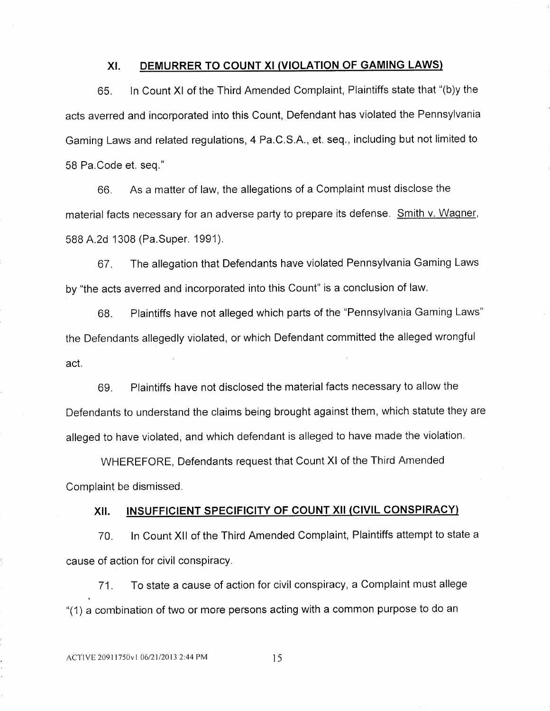### XI. DEMURRER TO COUNT XI (VIOLATION OF GAMING LAWS)

65. In Count XI of the Third Amended Complaint, Plaintiffs state that "(b)y the acts averred and incorporated into this Count, Defendant has violated the Pennsylvania Gaming Laws and related regulations, 4 Pa.C.S.A., et. seq., including but not limited to 58 Pa.Code et. seq."

66. As a matter of law, the allegations of a Complaint must disclose the material facts necessary for an adverse party to prepare its defense. Smith v. Wagner, 588 A.2d 1308 (Pa.Super. 1991).

67. The allegation that Defendants have violated Pennsylvania Gaming Laws by "the acts averred and incorporated into this Count" is a conclusion of law.

68. Plaintiffs have not alleged which parts of the "Pennsylvania Gaming Laws" the Defendants allegedly violated, or which Defendant committed the alleged wrongful act.

69. Plaintiffs have not disclosed the material facts necessary to allow the Defendants to understand the claims being brought against them, which statute they are alleged to have violated, and which defendant is alleged to have made the violation.

WHEREFORE, Defendants request that Count Xl of the Third Amended Complaint be dismissed.

# XII. INSUFFICIENT SPECIFICITY OF COUNT XII (CIVIL CONSPIRACY)

70. ln Count XII of the Third Amended Complaint, Plaintiffs attempt to state a cause of action for civil conspiracy.

71. To state a cause of action for civil conspiracy, a Complaint must allege "(1) a combination of two or more persons acting with a common purpose to do an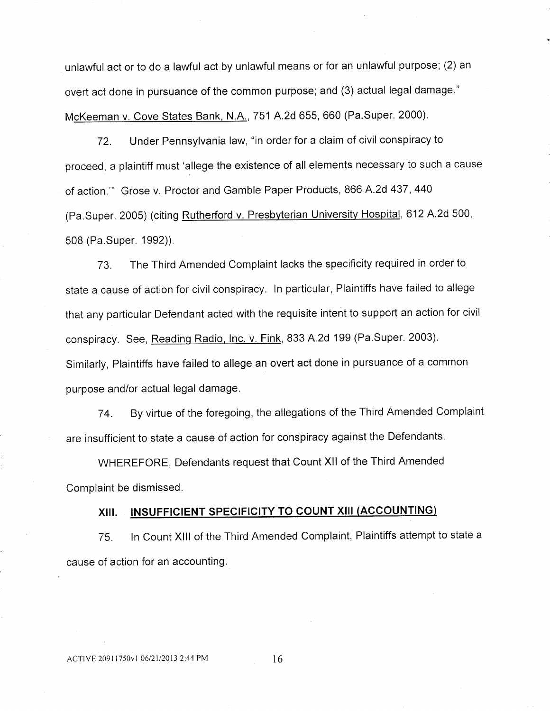unlawful act or to do a lawful act by unlawful means or for an unlawful purpose; (2) an overt act done in pursuance of the common purpose; and (3) actual legal damage." McKeeman v. Cove States Bank, N.A., 751 A.2d 655, 660 (Pa.Super. 2000).

72. Under Pennsylvania law, "in order for a claim of civil conspiracy to proceed, a plaintiff must 'allege the existence of all elements necessary to such a cause of action."' Grose v. Proctor and Gamble Paper Products, 866 A.2d 437, 440 (Pa.Super. 2005) (citing Rutherford v. Presbyterian University Hospital, 612 A.2d 500, 508 (Pa.Super. 1992)).

73. The Third Amended Complaint lacks the specificity required in order to state a cause of action for civil conspiracy. ln particular, Plaintiffs have failed to allege that any particular Defendant acted with the requisite intent to support an action for civil conspiracy. See, Reading Radio, Inc. v. Fink, 833 A.2d 199 (Pa.Super. 2003). Similarly, Plaintiffs have failed to allege an overt act done in pursuance of a common purpose and/or actual legal damage.

74. By virtue of the foregoing, the allegations of the Third Amended Complaint are insufficient to state a cause of action for conspiracy against the Defendants.

WHEREFORE, Defendants request that Count XII of the Third Amended Complaint be dismissed.

# XIII. INSUFFICIENT SPECIFICITY TO COUNT XIII (ACCOUNTING)

75. In Count Xlll of the Third Amended Complaint, Plaintiffs attempt to state a cause of action for an accounting.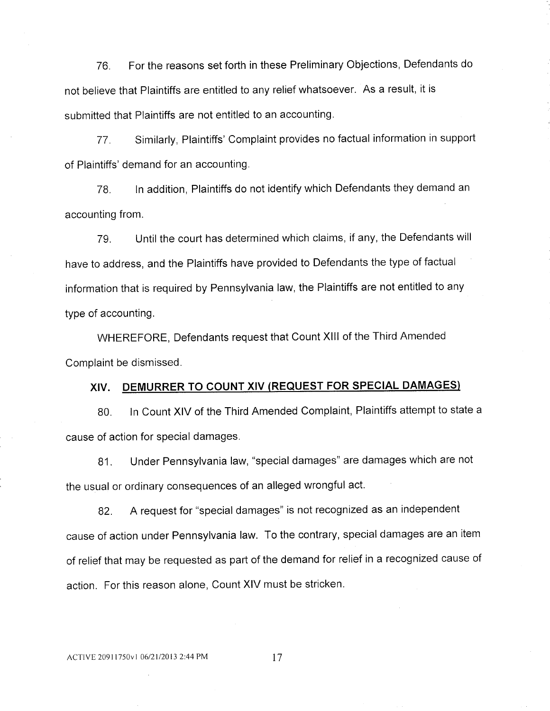76. For the reasons set forth in these Preliminary Objections, Defendants do not believe that Plaintiffs are entitled to any relief whatsoever. As a result, it is submitted that Plaintiffs are not entitled to an accounting.

77. Similarly, Plaintiffs' Complaint provides no factual information in support of Plaintiffs' demand for an accounting.

78. ln addition, Plaintiffs do not identify which Defendants they demand an accounting from.

79. Until the court has determined which claims, if any, the Defendants will have to address, and the Plaintiffs have provided to Defendants the type of factual information that is required by Pennsylvania law, the Plaintiffs are not entitled to any type of accounting.

WHEREFORE, Defendants request that Count XIII of the Third Amended Complaint be dismissed.

# XIV. DENIURRER TO COUNT XIV (REQUEST FOR SPECIAL DAMAGES)

80. In Count XIV of the Third Amended Complaint, Plaintiffs attempt to state a cause of action for special damages.

81. Under Pennsylvania law, "special damages" are damages which are not the usual or ordinary consequences of an alleged wrongful act.

82. A request for "special damages" is not recognized as an independent cause of action under Pennsylvania law. To the contrary, special damages are an item of relief that may be requested as part of the demand for relief in a recognized cause of action. For this reason alone, Count XIV must be stricken.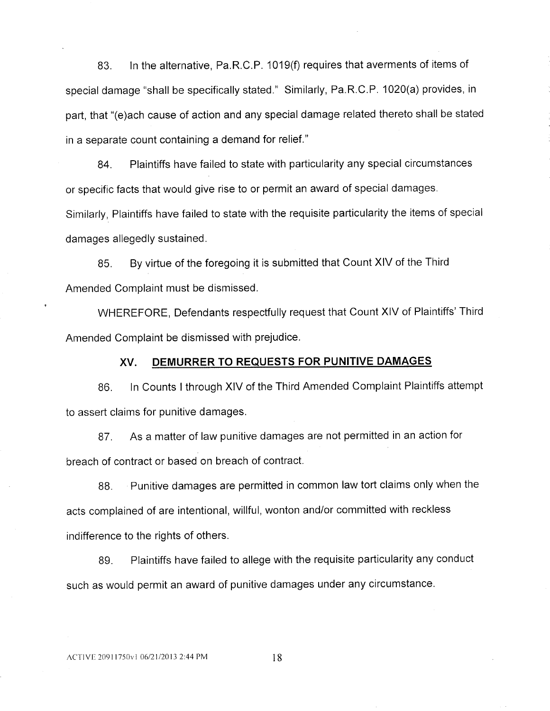83. In the alternative, Pa.R.C.P. 1019(f) requires that averments of items of special damage "shall be specifically stated." Similarly, Pa.R.C.P. 1020(a) provides, in part, that "(e)ach cause of action and any special damage related thereto shall be stated in a separate count containing a demand for relief."

84. Plaintiffs have failed to state with particularity any special circumstances or specific facts that would give rise to or permit an award of special damages. Similarly, Plaintiffs have failed to state with the requisite particularity the items of special damages allegedly sustained.

85. By virtue of the foregoing it is submitted that Count XIV of the Third Amended Complaint must be dismissed.

<sup>v</sup> WHEREFORE, Defendants respectfully request that Count XIV of Plaintiffs' Third Amended Complaint be dismissed with prejudice.

#### XV. DEMURRER TO REQUESTS FOR PUNITIVE DAMAGES

86. In Counts I through XIV of the Third Amended Complaint Plaintiffs attempt to assert claims for punitive damages.

87. As a matter of law punitive damages are not permitted in an action for breach of contract or based on breach of contract.

88. Punitive damages are permitted in common law tort claims only when the acts complained of are intentional, willful, wonton and/or committed with reckless indifference to the rights of others.

89. Plaintiffs have failed to allege with the requisite particularity any conduct such as would permit an award of punitive damages under any circumstance.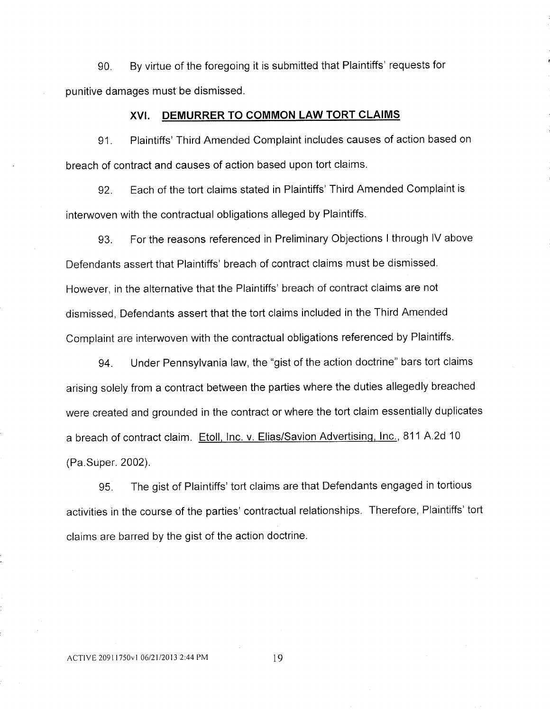90. By virtue of the foregoing it is submitted that Plaintiffs' requests for punitive damages must be dismissed.

### XVI. DEMURRER TO COMMON LAW TORT CLAIMS

91. Plaintiffs' Third Amended Complaint includes causes of action based on breach of contract and causes of action based upon tort claims.

92. Each of the tort claims stated in Plaintiffs' Third Amended Complaint is interwoven with the contractual obligations alleged by Plaintiffs.

93. For the reasons referenced in Preliminary Objections I through IV above Defendants assert that Plaintiffs' breach of contract claims must be dismissed. However, in the alternative that the Plaintiffs' breach of contract claims are not dismissed, Defendants assert that the tort claims included in the Third Amended Complaint are interwoven with the contractual obligations referenced by Plaintiffs.

94. Under Pennsylvania law, the "gist of the action doctrine" bars tort claims arising solely from a contract between the parties where the duties allegedly breached were created and grounded in the contract or where the tort claim essentially duplicates a breach of contract claim. Etoll, lnc. v. Elias/Savion Advertising, lnc., 811 A.2d 10 (Pa.Super. 2002).

95. The gist of Plaintiffs' tort claims are that Defendants engaged in tortious activities in the course of the parties' contractual relationships. Therefore, Plaintiffs' tort claims are barred by the gist of the action doctrine.

ACTIVE 20911750v1 06/21/2013 2:44 PM 19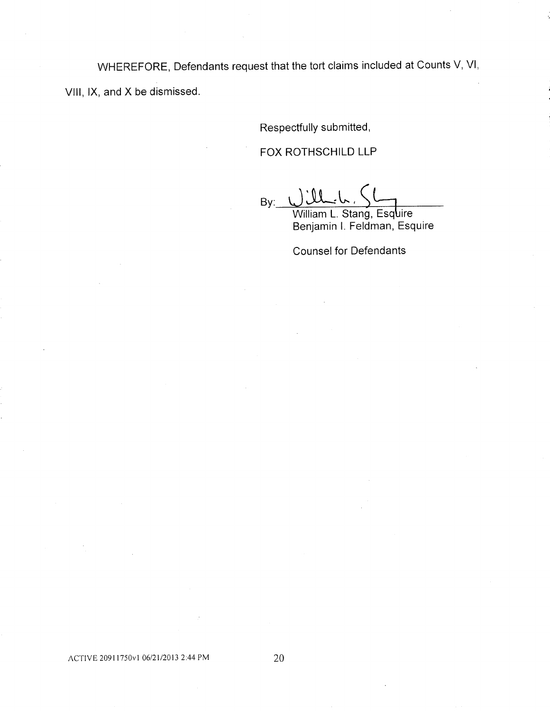WHEREFORE, Defendants request that the tort claims included at Counts V, VI, VIII, IX, and X be dismissed.

Respectfully submitted,

FOX ROTHSCHILD LLP

 $By: UllL, C$ William L. Stang, Esquire

Benjamin l. Feldman, Esquire

Counsel for Defendants

ACTIVE 20911750v1 06/21/2013 2:44 PM 20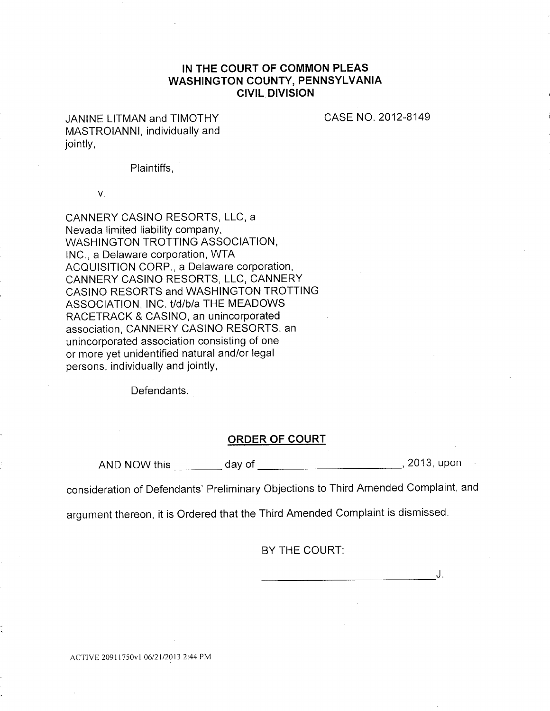# IN THE COURT OF COMMON PLEAS WASHINGTON COUNTY, PENNSYLVANIA CIVIL DIVISION

JANINE LITMAN and TIMOTHY MASTROIANNI, individually and jointly,

CASE NO. 2012-8149

Plaintiffs,

V.

CANNERY CASINO RESORTS, LLC, a Nevada limited liability company, WASHINGTON TROTTING ASSOCIATION, INC., a Delaware corporation, WTA ACQUISITION CORP., a Delaware corporation, CANNERY CASINO RESORTS, LLC, CANNERY CASINO RESORTS and WASHINGTON TROTTING ASSOCIATION, INC. t/d/b/a THE MEADOWS RACETRACK & CASINO, an unincorporated association, CANNERY CASINO RESORTS, an unincorporated association consisting of one or more yet unidentified natural and/or legal persons, individually and jointly,

Defendants.

## ORDER OF COURT

AND NOW this \_\_\_\_\_\_\_\_\_ day of \_\_\_\_\_\_\_\_\_\_\_\_\_\_\_\_\_\_\_\_\_\_\_\_\_\_\_\_\_\_, 2013, upon

consideration of Defendants' Preliminary Objections to Third Amended Complaint, and

argument thereon, it is Ordered that the Third Amended Complaint is dismissed.

BY THE COURT:

J.

ACTIVE 2091 l750Vl 06/21/2013 2:44 PM